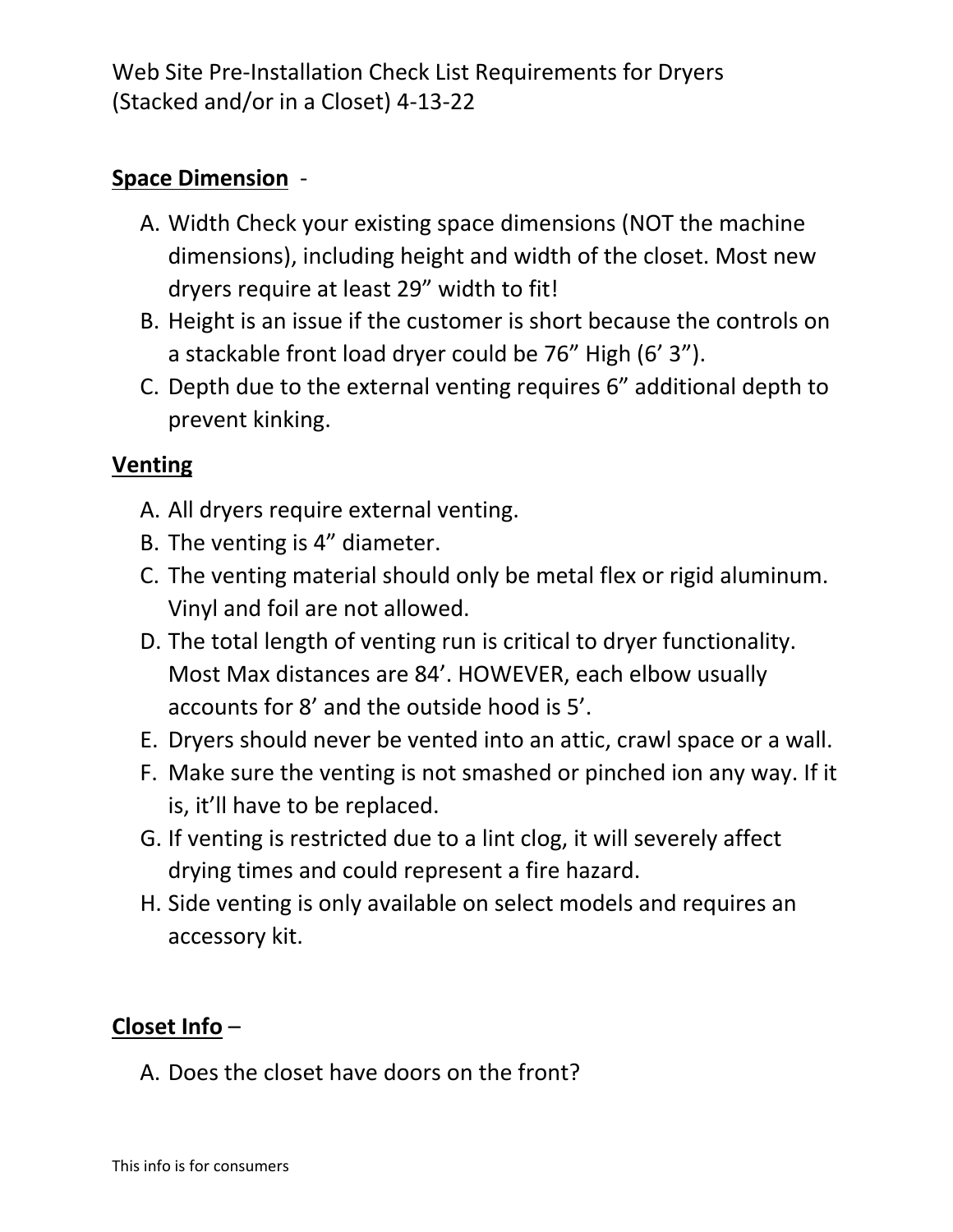Web Site Pre-Installation Check List Requirements for Dryers (Stacked and/or in a Closet) 4-13-22

## **Space Dimension** -

- A. Width Check your existing space dimensions (NOT the machine dimensions), including height and width of the closet. Most new dryers require at least 29" width to fit!
- B. Height is an issue if the customer is short because the controls on a stackable front load dryer could be 76" High (6' 3").
- C. Depth due to the external venting requires 6" additional depth to prevent kinking.

## **Venting**

- A. All dryers require external venting.
- B. The venting is 4" diameter.
- C. The venting material should only be metal flex or rigid aluminum. Vinyl and foil are not allowed.
- D. The total length of venting run is critical to dryer functionality. Most Max distances are 84'. HOWEVER, each elbow usually accounts for 8' and the outside hood is 5'.
- E. Dryers should never be vented into an attic, crawl space or a wall.
- F. Make sure the venting is not smashed or pinched ion any way. If it is, it'll have to be replaced.
- G. If venting is restricted due to a lint clog, it will severely affect drying times and could represent a fire hazard.
- H. Side venting is only available on select models and requires an accessory kit.

# **Closet Info** –

A. Does the closet have doors on the front?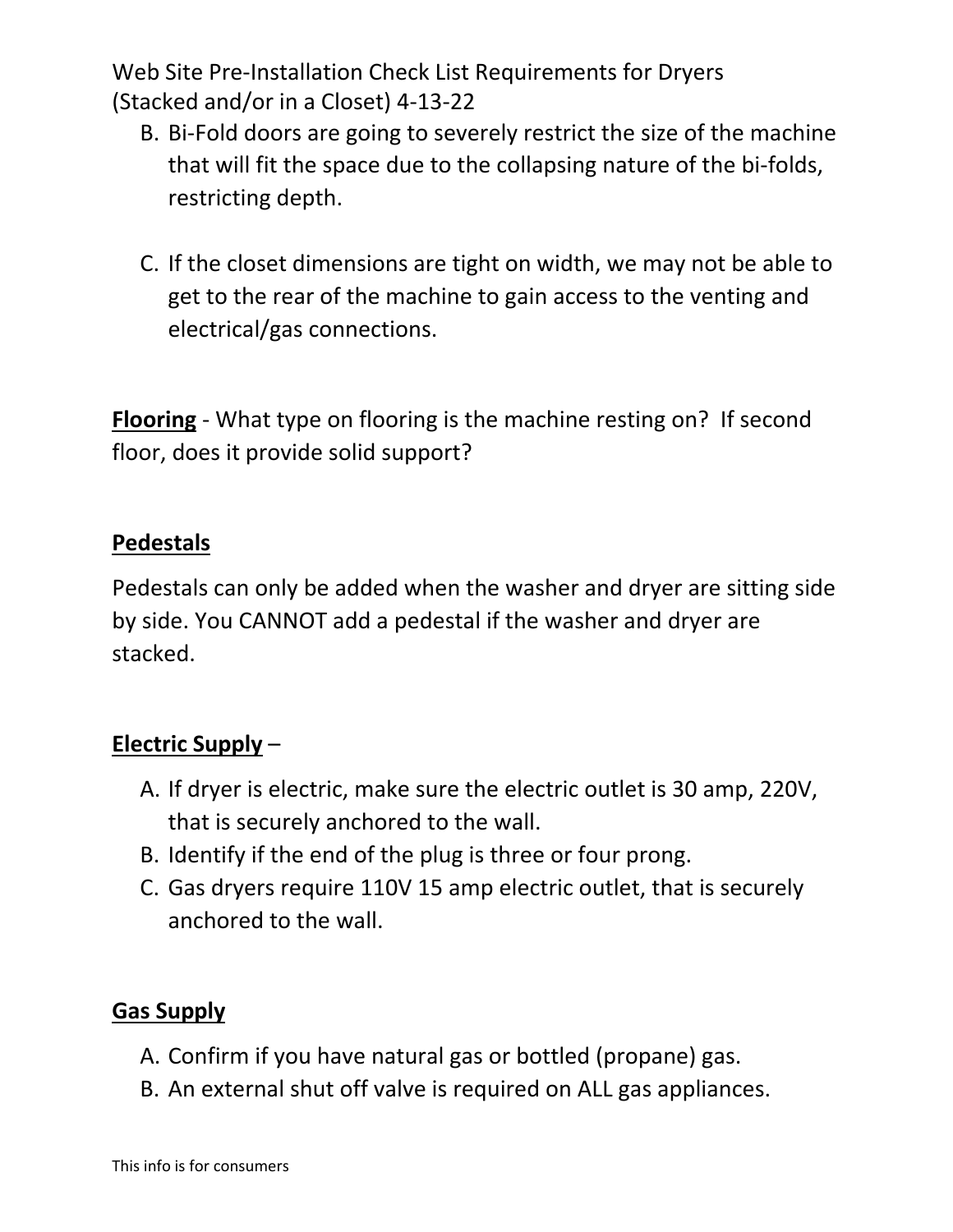Web Site Pre-Installation Check List Requirements for Dryers (Stacked and/or in a Closet) 4-13-22

- B. Bi-Fold doors are going to severely restrict the size of the machine that will fit the space due to the collapsing nature of the bi-folds, restricting depth.
- C. If the closet dimensions are tight on width, we may not be able to get to the rear of the machine to gain access to the venting and electrical/gas connections.

**Flooring** - What type on flooring is the machine resting on? If second floor, does it provide solid support?

#### **Pedestals**

Pedestals can only be added when the washer and dryer are sitting side by side. You CANNOT add a pedestal if the washer and dryer are stacked.

# **Electric Supply** –

- A. If dryer is electric, make sure the electric outlet is 30 amp, 220V, that is securely anchored to the wall.
- B. Identify if the end of the plug is three or four prong.
- C. Gas dryers require 110V 15 amp electric outlet, that is securely anchored to the wall.

## **Gas Supply**

- A. Confirm if you have natural gas or bottled (propane) gas.
- B. An external shut off valve is required on ALL gas appliances.